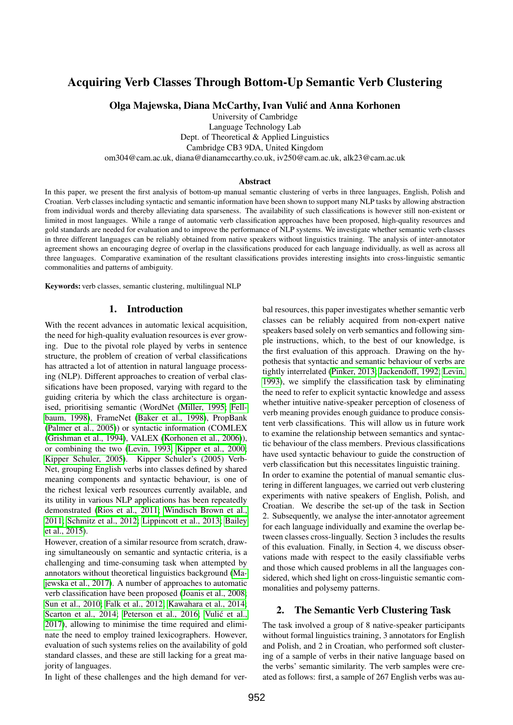# Acquiring Verb Classes Through Bottom-Up Semantic Verb Clustering

Olga Majewska, Diana McCarthy, Ivan Vulic and Anna Korhonen ´

University of Cambridge Language Technology Lab Dept. of Theoretical & Applied Linguistics Cambridge CB3 9DA, United Kingdom om304@cam.ac.uk, diana@dianamccarthy.co.uk, iv250@cam.ac.uk, alk23@cam.ac.uk

#### **Abstract**

In this paper, we present the first analysis of bottom-up manual semantic clustering of verbs in three languages, English, Polish and Croatian. Verb classes including syntactic and semantic information have been shown to support many NLP tasks by allowing abstraction from individual words and thereby alleviating data sparseness. The availability of such classifications is however still non-existent or limited in most languages. While a range of automatic verb classification approaches have been proposed, high-quality resources and gold standards are needed for evaluation and to improve the performance of NLP systems. We investigate whether semantic verb classes in three different languages can be reliably obtained from native speakers without linguistics training. The analysis of inter-annotator agreement shows an encouraging degree of overlap in the classifications produced for each language individually, as well as across all three languages. Comparative examination of the resultant classifications provides interesting insights into cross-linguistic semantic commonalities and patterns of ambiguity.

Keywords: verb classes, semantic clustering, multilingual NLP

#### 1. Introduction

With the recent advances in automatic lexical acquisition, the need for high-quality evaluation resources is ever growing. Due to the pivotal role played by verbs in sentence structure, the problem of creation of verbal classifications has attracted a lot of attention in natural language processing (NLP). Different approaches to creation of verbal classifications have been proposed, varying with regard to the guiding criteria by which the class architecture is organised, prioritising semantic (WordNet [\(Miller, 1995;](#page-5-0) [Fell](#page-5-1)[baum, 1998\)](#page-5-1), FrameNet [\(Baker et al., 1998\)](#page-5-2), PropBank [\(Palmer et al., 2005\)](#page-5-3)) or syntactic information (COMLEX [\(Grishman et al., 1994\)](#page-5-4), VALEX [\(Korhonen et al., 2006\)](#page-5-5)), or combining the two [\(Levin, 1993;](#page-5-6) [Kipper et al., 2000;](#page-5-7) [Kipper Schuler, 2005\)](#page-5-8). Kipper Schuler's (2005) Verb-Net, grouping English verbs into classes defined by shared meaning components and syntactic behaviour, is one of the richest lexical verb resources currently available, and its utility in various NLP applications has been repeatedly demonstrated [\(Rios et al., 2011;](#page-5-9) [Windisch Brown et al.,](#page-6-0) [2011;](#page-6-0) [Schmitz et al., 2012;](#page-6-1) [Lippincott et al., 2013;](#page-5-10) [Bailey](#page-5-11) [et al., 2015\)](#page-5-11).

However, creation of a similar resource from scratch, drawing simultaneously on semantic and syntactic criteria, is a challenging and time-consuming task when attempted by annotators without theoretical linguistics background [\(Ma](#page-5-12)[jewska et al., 2017\)](#page-5-12). A number of approaches to automatic verb classification have been proposed [\(Joanis et al., 2008;](#page-5-13) [Sun et al., 2010;](#page-6-2) [Falk et al., 2012;](#page-5-14) [Kawahara et al., 2014;](#page-5-15) [Scarton et al., 2014;](#page-5-16) [Peterson et al., 2016;](#page-5-17) Vulić et al., [2017\)](#page-6-3), allowing to minimise the time required and eliminate the need to employ trained lexicographers. However, evaluation of such systems relies on the availability of gold standard classes, and these are still lacking for a great majority of languages.

In light of these challenges and the high demand for ver-

bal resources, this paper investigates whether semantic verb classes can be reliably acquired from non-expert native speakers based solely on verb semantics and following simple instructions, which, to the best of our knowledge, is the first evaluation of this approach. Drawing on the hypothesis that syntactic and semantic behaviour of verbs are tightly interrelated [\(Pinker, 2013;](#page-5-18) [Jackendoff, 1992;](#page-5-19) [Levin,](#page-5-6) [1993\)](#page-5-6), we simplify the classification task by eliminating the need to refer to explicit syntactic knowledge and assess whether intuitive native-speaker perception of closeness of verb meaning provides enough guidance to produce consistent verb classifications. This will allow us in future work to examine the relationship between semantics and syntactic behaviour of the class members. Previous classifications have used syntactic behaviour to guide the construction of verb classification but this necessitates linguistic training. In order to examine the potential of manual semantic clustering in different languages, we carried out verb clustering experiments with native speakers of English, Polish, and Croatian. We describe the set-up of the task in Section 2. Subsequently, we analyse the inter-annotator agreement for each language individually and examine the overlap between classes cross-lingually. Section 3 includes the results of this evaluation. Finally, in Section 4, we discuss observations made with respect to the easily classifiable verbs and those which caused problems in all the languages considered, which shed light on cross-linguistic semantic commonalities and polysemy patterns.

### 2. The Semantic Verb Clustering Task

The task involved a group of 8 native-speaker participants without formal linguistics training, 3 annotators for English and Polish, and 2 in Croatian, who performed soft clustering of a sample of verbs in their native language based on the verbs' semantic similarity. The verb samples were created as follows: first, a sample of 267 English verbs was au-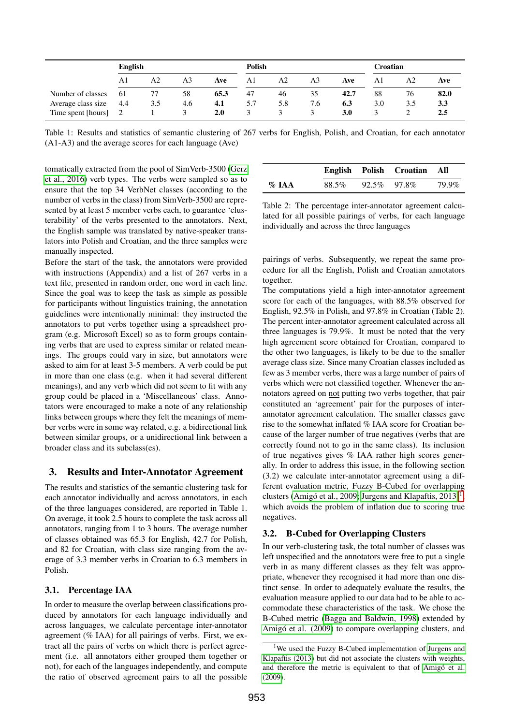|                    | <b>English</b> |     |     |      | <b>Polish</b> |                |     |      | Croatian |                |      |
|--------------------|----------------|-----|-----|------|---------------|----------------|-----|------|----------|----------------|------|
|                    | A1             | А2  | A3  | Ave  | A1            | A <sub>2</sub> | A3  | Ave  | Αl       | A <sub>2</sub> | Ave  |
| Number of classes  | -61            | 77  | 58  | 65.3 | 47            | 46             | 35  | 42.7 | 88       | 76             | 82.0 |
| Average class size | 4.4            | 3.5 | 4.6 | 4.1  | 5.7           | 5.8            | 7.6 | 6.3  | 3.0      | 3.5            | 3.3  |
| Time spent [hours] |                |     |     | 2.0  |               |                |     | 3.0  |          |                | 2.5  |

Table 1: Results and statistics of semantic clustering of 267 verbs for English, Polish, and Croatian, for each annotator (A1-A3) and the average scores for each language (Ave)

tomatically extracted from the pool of SimVerb-3500 [\(Gerz](#page-5-20) [et al., 2016\)](#page-5-20) verb types. The verbs were sampled so as to ensure that the top 34 VerbNet classes (according to the number of verbs in the class) from SimVerb-3500 are represented by at least 5 member verbs each, to guarantee 'clusterability' of the verbs presented to the annotators. Next, the English sample was translated by native-speaker translators into Polish and Croatian, and the three samples were manually inspected.

Before the start of the task, the annotators were provided with instructions (Appendix) and a list of 267 verbs in a text file, presented in random order, one word in each line. Since the goal was to keep the task as simple as possible for participants without linguistics training, the annotation guidelines were intentionally minimal: they instructed the annotators to put verbs together using a spreadsheet program (e.g. Microsoft Excel) so as to form groups containing verbs that are used to express similar or related meanings. The groups could vary in size, but annotators were asked to aim for at least 3-5 members. A verb could be put in more than one class (e.g. when it had several different meanings), and any verb which did not seem to fit with any group could be placed in a 'Miscellaneous' class. Annotators were encouraged to make a note of any relationship links between groups where they felt the meanings of member verbs were in some way related, e.g. a bidirectional link between similar groups, or a unidirectional link between a broader class and its subclass(es).

### 3. Results and Inter-Annotator Agreement

The results and statistics of the semantic clustering task for each annotator individually and across annotators, in each of the three languages considered, are reported in Table 1. On average, it took 2.5 hours to complete the task across all annotators, ranging from 1 to 3 hours. The average number of classes obtained was 65.3 for English, 42.7 for Polish, and 82 for Croatian, with class size ranging from the average of 3.3 member verbs in Croatian to 6.3 members in Polish.

## 3.1. Percentage IAA

In order to measure the overlap between classifications produced by annotators for each language individually and across languages, we calculate percentage inter-annotator agreement (% IAA) for all pairings of verbs. First, we extract all the pairs of verbs on which there is perfect agreement (i.e. all annotators either grouped them together or not), for each of the languages independently, and compute the ratio of observed agreement pairs to all the possible

|          |       |             | English Polish Croatian | All   |
|----------|-------|-------------|-------------------------|-------|
| $\%$ JAA | 88.5% | 92.5% 97.8% |                         | 79.9% |

Table 2: The percentage inter-annotator agreement calculated for all possible pairings of verbs, for each language individually and across the three languages

pairings of verbs. Subsequently, we repeat the same procedure for all the English, Polish and Croatian annotators together.

The computations yield a high inter-annotator agreement score for each of the languages, with 88.5% observed for English, 92.5% in Polish, and 97.8% in Croatian (Table 2). The percent inter-annotator agreement calculated across all three languages is 79.9%. It must be noted that the very high agreement score obtained for Croatian, compared to the other two languages, is likely to be due to the smaller average class size. Since many Croatian classes included as few as 3 member verbs, there was a large number of pairs of verbs which were not classified together. Whenever the annotators agreed on not putting two verbs together, that pair constituted an 'agreement' pair for the purposes of interannotator agreement calculation. The smaller classes gave rise to the somewhat inflated % IAA score for Croatian because of the larger number of true negatives (verbs that are correctly found not to go in the same class). Its inclusion of true negatives gives % IAA rather high scores generally. In order to address this issue, in the following section (3.2) we calculate inter-annotator agreement using a different evaluation metric, Fuzzy B-Cubed for overlapping clusters (Amigó et al., 2009; [Jurgens and Klapaftis, 2013\)](#page-5-22)<sup>[1](#page-1-0)</sup>, which avoids the problem of inflation due to scoring true negatives.

## 3.2. B-Cubed for Overlapping Clusters

In our verb-clustering task, the total number of classes was left unspecified and the annotators were free to put a single verb in as many different classes as they felt was appropriate, whenever they recognised it had more than one distinct sense. In order to adequately evaluate the results, the evaluation measure applied to our data had to be able to accommodate these characteristics of the task. We chose the B-Cubed metric [\(Bagga and Baldwin, 1998\)](#page-5-23) extended by Amigó et al. (2009) to compare overlapping clusters, and

<span id="page-1-0"></span><sup>&</sup>lt;sup>1</sup>We used the Fuzzy B-Cubed implementation of [Jurgens and](#page-5-22) [Klapaftis \(2013\)](#page-5-22) but did not associate the clusters with weights, and therefore the metric is equivalent to that of Amigó et al. [\(2009\)](#page-5-21).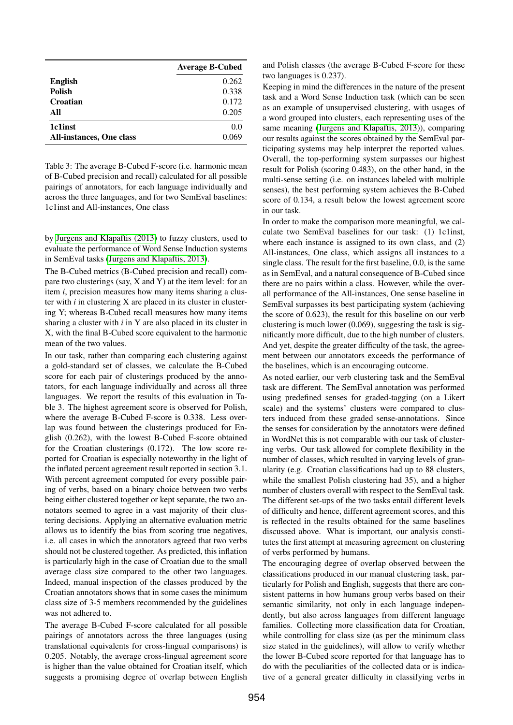|                                 | <b>Average B-Cubed</b> |
|---------------------------------|------------------------|
| <b>English</b>                  | 0.262                  |
| <b>Polish</b>                   | 0.338                  |
| Croatian                        | 0.172                  |
| All                             | 0.205                  |
| 1c1inst                         | 0.0                    |
| <b>All-instances, One class</b> | 0.069                  |

Table 3: The average B-Cubed F-score (i.e. harmonic mean of B-Cubed precision and recall) calculated for all possible pairings of annotators, for each language individually and across the three languages, and for two SemEval baselines: 1c1inst and All-instances, One class

by [Jurgens and Klapaftis \(2013\)](#page-5-22) to fuzzy clusters, used to evaluate the performance of Word Sense Induction systems in SemEval tasks [\(Jurgens and Klapaftis, 2013\)](#page-5-22).

The B-Cubed metrics (B-Cubed precision and recall) compare two clusterings (say, X and Y) at the item level: for an item *i*, precision measures how many items sharing a cluster with *i* in clustering X are placed in its cluster in clustering Y; whereas B-Cubed recall measures how many items sharing a cluster with *i* in Y are also placed in its cluster in X, with the final B-Cubed score equivalent to the harmonic mean of the two values.

In our task, rather than comparing each clustering against a gold-standard set of classes, we calculate the B-Cubed score for each pair of clusterings produced by the annotators, for each language individually and across all three languages. We report the results of this evaluation in Table 3. The highest agreement score is observed for Polish, where the average B-Cubed F-score is 0.338. Less overlap was found between the clusterings produced for English (0.262), with the lowest B-Cubed F-score obtained for the Croatian clusterings (0.172). The low score reported for Croatian is especially noteworthy in the light of the inflated percent agreement result reported in section 3.1. With percent agreement computed for every possible pairing of verbs, based on a binary choice between two verbs being either clustered together or kept separate, the two annotators seemed to agree in a vast majority of their clustering decisions. Applying an alternative evaluation metric allows us to identify the bias from scoring true negatives, i.e. all cases in which the annotators agreed that two verbs should not be clustered together. As predicted, this inflation is particularly high in the case of Croatian due to the small average class size compared to the other two languages. Indeed, manual inspection of the classes produced by the Croatian annotators shows that in some cases the minimum class size of 3-5 members recommended by the guidelines was not adhered to.

The average B-Cubed F-score calculated for all possible pairings of annotators across the three languages (using translational equivalents for cross-lingual comparisons) is 0.205. Notably, the average cross-lingual agreement score is higher than the value obtained for Croatian itself, which suggests a promising degree of overlap between English and Polish classes (the average B-Cubed F-score for these two languages is 0.237).

Keeping in mind the differences in the nature of the present task and a Word Sense Induction task (which can be seen as an example of unsupervised clustering, with usages of a word grouped into clusters, each representing uses of the same meaning [\(Jurgens and Klapaftis, 2013\)](#page-5-22)), comparing our results against the scores obtained by the SemEval participating systems may help interpret the reported values. Overall, the top-performing system surpasses our highest result for Polish (scoring 0.483), on the other hand, in the multi-sense setting (i.e. on instances labeled with multiple senses), the best performing system achieves the B-Cubed score of 0.134, a result below the lowest agreement score in our task.

In order to make the comparison more meaningful, we calculate two SemEval baselines for our task: (1) 1c1inst, where each instance is assigned to its own class, and (2) All-instances, One class, which assigns all instances to a single class. The result for the first baseline, 0.0, is the same as in SemEval, and a natural consequence of B-Cubed since there are no pairs within a class. However, while the overall performance of the All-instances, One sense baseline in SemEval surpasses its best participating system (achieving the score of 0.623), the result for this baseline on our verb clustering is much lower (0.069), suggesting the task is significantly more difficult, due to the high number of clusters. And yet, despite the greater difficulty of the task, the agreement between our annotators exceeds the performance of the baselines, which is an encouraging outcome.

As noted earlier, our verb clustering task and the SemEval task are different. The SemEval annotation was performed using predefined senses for graded-tagging (on a Likert scale) and the systems' clusters were compared to clusters induced from these graded sense-annotations. Since the senses for consideration by the annotators were defined in WordNet this is not comparable with our task of clustering verbs. Our task allowed for complete flexibility in the number of classes, which resulted in varying levels of granularity (e.g. Croatian classifications had up to 88 clusters, while the smallest Polish clustering had 35), and a higher number of clusters overall with respect to the SemEval task. The different set-ups of the two tasks entail different levels of difficulty and hence, different agreement scores, and this is reflected in the results obtained for the same baselines discussed above. What is important, our analysis constitutes the first attempt at measuring agreement on clustering of verbs performed by humans.

The encouraging degree of overlap observed between the classifications produced in our manual clustering task, particularly for Polish and English, suggests that there are consistent patterns in how humans group verbs based on their semantic similarity, not only in each language independently, but also across languages from different language families. Collecting more classification data for Croatian, while controlling for class size (as per the minimum class size stated in the guidelines), will allow to verify whether the lower B-Cubed score reported for that language has to do with the peculiarities of the collected data or is indicative of a general greater difficulty in classifying verbs in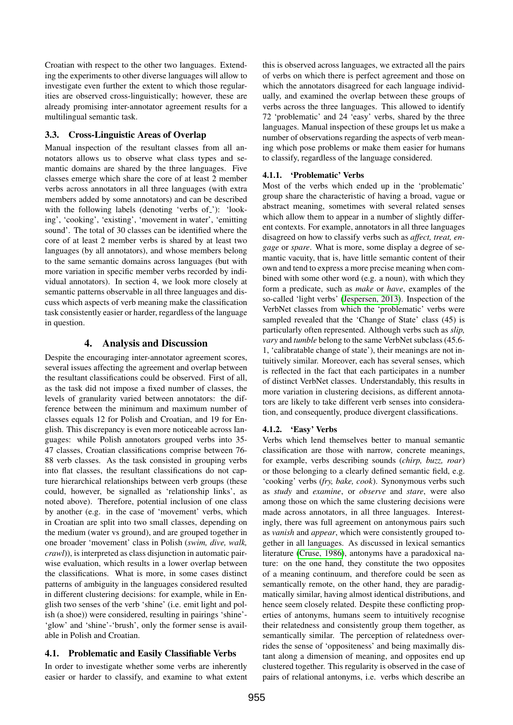Croatian with respect to the other two languages. Extending the experiments to other diverse languages will allow to investigate even further the extent to which those regularities are observed cross-linguistically; however, these are already promising inter-annotator agreement results for a multilingual semantic task.

# 3.3. Cross-Linguistic Areas of Overlap

Manual inspection of the resultant classes from all annotators allows us to observe what class types and semantic domains are shared by the three languages. Five classes emerge which share the core of at least 2 member verbs across annotators in all three languages (with extra members added by some annotators) and can be described with the following labels (denoting 'verbs of '): 'looking', 'cooking', 'existing', 'movement in water', 'emitting sound'. The total of 30 classes can be identified where the core of at least 2 member verbs is shared by at least two languages (by all annotators), and whose members belong to the same semantic domains across languages (but with more variation in specific member verbs recorded by individual annotators). In section 4, we look more closely at semantic patterns observable in all three languages and discuss which aspects of verb meaning make the classification task consistently easier or harder, regardless of the language in question.

# 4. Analysis and Discussion

Despite the encouraging inter-annotator agreement scores, several issues affecting the agreement and overlap between the resultant classifications could be observed. First of all, as the task did not impose a fixed number of classes, the levels of granularity varied between annotators: the difference between the minimum and maximum number of classes equals 12 for Polish and Croatian, and 19 for English. This discrepancy is even more noticeable across languages: while Polish annotators grouped verbs into 35- 47 classes, Croatian classifications comprise between 76- 88 verb classes. As the task consisted in grouping verbs into flat classes, the resultant classifications do not capture hierarchical relationships between verb groups (these could, however, be signalled as 'relationship links', as noted above). Therefore, potential inclusion of one class by another (e.g. in the case of 'movement' verbs, which in Croatian are split into two small classes, depending on the medium (water vs ground), and are grouped together in one broader 'movement' class in Polish (*swim, dive, walk, crawl*)), is interpreted as class disjunction in automatic pairwise evaluation, which results in a lower overlap between the classifications. What is more, in some cases distinct patterns of ambiguity in the languages considered resulted in different clustering decisions: for example, while in English two senses of the verb 'shine' (i.e. emit light and polish (a shoe)) were considered, resulting in pairings 'shine'- 'glow' and 'shine'-'brush', only the former sense is available in Polish and Croatian.

# 4.1. Problematic and Easily Classifiable Verbs

In order to investigate whether some verbs are inherently easier or harder to classify, and examine to what extent this is observed across languages, we extracted all the pairs of verbs on which there is perfect agreement and those on which the annotators disagreed for each language individually, and examined the overlap between these groups of verbs across the three languages. This allowed to identify 72 'problematic' and 24 'easy' verbs, shared by the three languages. Manual inspection of these groups let us make a number of observations regarding the aspects of verb meaning which pose problems or make them easier for humans to classify, regardless of the language considered.

# 4.1.1. 'Problematic' Verbs

Most of the verbs which ended up in the 'problematic' group share the characteristic of having a broad, vague or abstract meaning, sometimes with several related senses which allow them to appear in a number of slightly different contexts. For example, annotators in all three languages disagreed on how to classify verbs such as *affect, treat, engage* or *spare*. What is more, some display a degree of semantic vacuity, that is, have little semantic content of their own and tend to express a more precise meaning when combined with some other word (e.g. a noun), with which they form a predicate, such as *make* or *have*, examples of the so-called 'light verbs' [\(Jespersen, 2013\)](#page-5-24). Inspection of the VerbNet classes from which the 'problematic' verbs were sampled revealed that the 'Change of State' class (45) is particularly often represented. Although verbs such as *slip, vary* and *tumble* belong to the same VerbNet subclass (45.6- 1, 'calibratable change of state'), their meanings are not intuitively similar. Moreover, each has several senses, which is reflected in the fact that each participates in a number of distinct VerbNet classes. Understandably, this results in more variation in clustering decisions, as different annotators are likely to take different verb senses into consideration, and consequently, produce divergent classifications.

# 4.1.2. 'Easy' Verbs

Verbs which lend themselves better to manual semantic classification are those with narrow, concrete meanings, for example, verbs describing sounds (*chirp, buzz, roar*) or those belonging to a clearly defined semantic field, e.g. 'cooking' verbs (*fry, bake, cook*). Synonymous verbs such as *study* and *examine*, or *observe* and *stare*, were also among those on which the same clustering decisions were made across annotators, in all three languages. Interestingly, there was full agreement on antonymous pairs such as *vanish* and *appear*, which were consistently grouped together in all languages. As discussed in lexical semantics literature [\(Cruse, 1986\)](#page-5-25), antonyms have a paradoxical nature: on the one hand, they constitute the two opposites of a meaning continuum, and therefore could be seen as semantically remote, on the other hand, they are paradigmatically similar, having almost identical distributions, and hence seem closely related. Despite these conflicting properties of antonyms, humans seem to intuitively recognise their relatedness and consistently group them together, as semantically similar. The perception of relatedness overrides the sense of 'oppositeness' and being maximally distant along a dimension of meaning, and opposites end up clustered together. This regularity is observed in the case of pairs of relational antonyms, i.e. verbs which describe an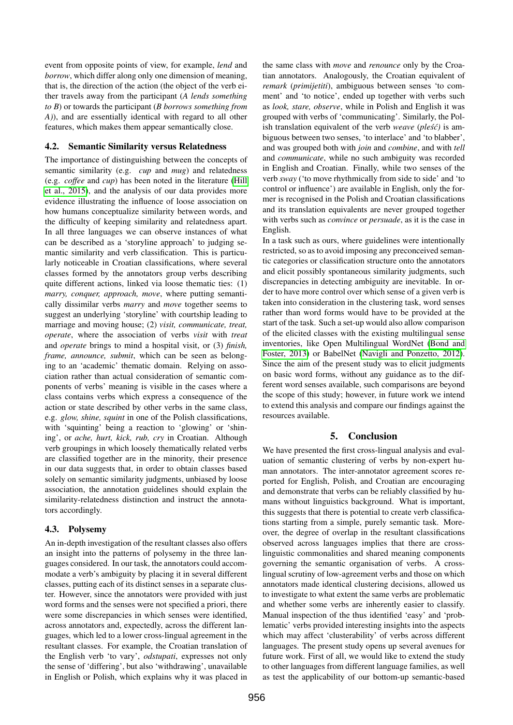event from opposite points of view, for example, *lend* and *borrow*, which differ along only one dimension of meaning, that is, the direction of the action (the object of the verb either travels away from the participant (*A lends something to B*) or towards the participant (*B borrows something from A)*), and are essentially identical with regard to all other features, which makes them appear semantically close.

### 4.2. Semantic Similarity versus Relatedness

The importance of distinguishing between the concepts of semantic similarity (e.g. *cup* and *mug*) and relatedness (e.g. *coffee* and *cup*) has been noted in the literature [\(Hill](#page-5-26) [et al., 2015\)](#page-5-26), and the analysis of our data provides more evidence illustrating the influence of loose association on how humans conceptualize similarity between words, and the difficulty of keeping similarity and relatedness apart. In all three languages we can observe instances of what can be described as a 'storyline approach' to judging semantic similarity and verb classification. This is particularly noticeable in Croatian classifications, where several classes formed by the annotators group verbs describing quite different actions, linked via loose thematic ties: (1) *marry, conquer, approach, move*, where putting semantically dissimilar verbs *marry* and *move* together seems to suggest an underlying 'storyline' with courtship leading to marriage and moving house; (2) *visit, communicate, treat, operate*, where the association of verbs *visit* with *treat* and *operate* brings to mind a hospital visit, or (3) *finish, frame, announce, submit*, which can be seen as belonging to an 'academic' thematic domain. Relying on association rather than actual consideration of semantic components of verbs' meaning is visible in the cases where a class contains verbs which express a consequence of the action or state described by other verbs in the same class, e.g. *glow, shine, squint* in one of the Polish classifications, with 'squinting' being a reaction to 'glowing' or 'shining', or *ache, hurt, kick, rub, cry* in Croatian. Although verb groupings in which loosely thematically related verbs are classified together are in the minority, their presence in our data suggests that, in order to obtain classes based solely on semantic similarity judgments, unbiased by loose association, the annotation guidelines should explain the similarity-relatedness distinction and instruct the annotators accordingly.

## 4.3. Polysemy

An in-depth investigation of the resultant classes also offers an insight into the patterns of polysemy in the three languages considered. In our task, the annotators could accommodate a verb's ambiguity by placing it in several different classes, putting each of its distinct senses in a separate cluster. However, since the annotators were provided with just word forms and the senses were not specified a priori, there were some discrepancies in which senses were identified, across annotators and, expectedly, across the different languages, which led to a lower cross-lingual agreement in the resultant classes. For example, the Croatian translation of the English verb 'to vary', *odstupati*, expresses not only the sense of 'differing', but also 'withdrawing', unavailable in English or Polish, which explains why it was placed in the same class with *move* and *renounce* only by the Croatian annotators. Analogously, the Croatian equivalent of *remark* (*primijetiti*), ambiguous between senses 'to comment' and 'to notice', ended up together with verbs such as *look, stare, observe*, while in Polish and English it was grouped with verbs of 'communicating'. Similarly, the Polish translation equivalent of the verb *weave* (*ples<sup>c</sup>*) is ambiguous between two senses, 'to interlace' and 'to blabber', and was grouped both with *join* and *combine*, and with *tell* and *communicate*, while no such ambiguity was recorded in English and Croatian. Finally, while two senses of the verb *sway* ('to move rhythmically from side to side' and 'to control or influence') are available in English, only the former is recognised in the Polish and Croatian classifications and its translation equivalents are never grouped together with verbs such as *convince* or *persuade*, as it is the case in English.

In a task such as ours, where guidelines were intentionally restricted, so as to avoid imposing any preconceived semantic categories or classification structure onto the annotators and elicit possibly spontaneous similarity judgments, such discrepancies in detecting ambiguity are inevitable. In order to have more control over which sense of a given verb is taken into consideration in the clustering task, word senses rather than word forms would have to be provided at the start of the task. Such a set-up would also allow comparison of the elicited classes with the existing multilingual sense inventories, like Open Multilingual WordNet [\(Bond and](#page-5-27) [Foster, 2013\)](#page-5-27) or BabelNet [\(Navigli and Ponzetto, 2012\)](#page-5-28). Since the aim of the present study was to elicit judgments on basic word forms, without any guidance as to the different word senses available, such comparisons are beyond the scope of this study; however, in future work we intend to extend this analysis and compare our findings against the resources available.

# 5. Conclusion

We have presented the first cross-lingual analysis and evaluation of semantic clustering of verbs by non-expert human annotators. The inter-annotator agreement scores reported for English, Polish, and Croatian are encouraging and demonstrate that verbs can be reliably classified by humans without linguistics background. What is important, this suggests that there is potential to create verb classifications starting from a simple, purely semantic task. Moreover, the degree of overlap in the resultant classifications observed across languages implies that there are crosslinguistic commonalities and shared meaning components governing the semantic organisation of verbs. A crosslingual scrutiny of low-agreement verbs and those on which annotators made identical clustering decisions, allowed us to investigate to what extent the same verbs are problematic and whether some verbs are inherently easier to classify. Manual inspection of the thus identified 'easy' and 'problematic' verbs provided interesting insights into the aspects which may affect 'clusterability' of verbs across different languages. The present study opens up several avenues for future work. First of all, we would like to extend the study to other languages from different language families, as well as test the applicability of our bottom-up semantic-based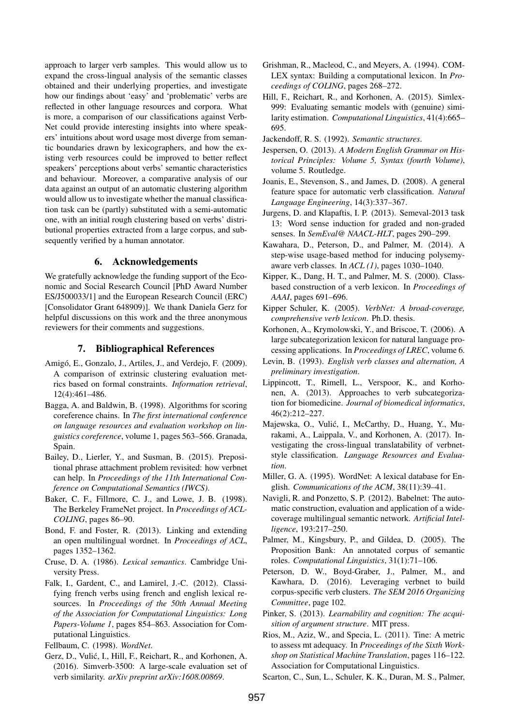approach to larger verb samples. This would allow us to expand the cross-lingual analysis of the semantic classes obtained and their underlying properties, and investigate how our findings about 'easy' and 'problematic' verbs are reflected in other language resources and corpora. What is more, a comparison of our classifications against Verb-Net could provide interesting insights into where speakers' intuitions about word usage most diverge from semantic boundaries drawn by lexicographers, and how the existing verb resources could be improved to better reflect speakers' perceptions about verbs' semantic characteristics and behaviour. Moreover, a comparative analysis of our data against an output of an automatic clustering algorithm would allow us to investigate whether the manual classification task can be (partly) substituted with a semi-automatic one, with an initial rough clustering based on verbs' distributional properties extracted from a large corpus, and subsequently verified by a human annotator.

## 6. Acknowledgements

We gratefully acknowledge the funding support of the Economic and Social Research Council [PhD Award Number ES/J500033/1] and the European Research Council (ERC) [Consolidator Grant 648909)]. We thank Daniela Gerz for helpful discussions on this work and the three anonymous reviewers for their comments and suggestions.

### 7. Bibliographical References

- <span id="page-5-21"></span>Amigó, E., Gonzalo, J., Artiles, J., and Verdejo, F. (2009). A comparison of extrinsic clustering evaluation metrics based on formal constraints. *Information retrieval*, 12(4):461–486.
- <span id="page-5-23"></span>Bagga, A. and Baldwin, B. (1998). Algorithms for scoring coreference chains. In *The first international conference on language resources and evaluation workshop on linguistics coreference*, volume 1, pages 563–566. Granada, Spain.
- <span id="page-5-11"></span>Bailey, D., Lierler, Y., and Susman, B. (2015). Prepositional phrase attachment problem revisited: how verbnet can help. In *Proceedings of the 11th International Conference on Computational Semantics (IWCS)*.
- <span id="page-5-2"></span>Baker, C. F., Fillmore, C. J., and Lowe, J. B. (1998). The Berkeley FrameNet project. In *Proceedings of ACL-COLING*, pages 86–90.
- <span id="page-5-27"></span>Bond, F. and Foster, R. (2013). Linking and extending an open multilingual wordnet. In *Proceedings of ACL*, pages 1352–1362.
- <span id="page-5-25"></span>Cruse, D. A. (1986). *Lexical semantics*. Cambridge University Press.
- <span id="page-5-14"></span>Falk, I., Gardent, C., and Lamirel, J.-C. (2012). Classifying french verbs using french and english lexical resources. In *Proceedings of the 50th Annual Meeting of the Association for Computational Linguistics: Long Papers-Volume 1*, pages 854–863. Association for Computational Linguistics.
- <span id="page-5-1"></span>Fellbaum, C. (1998). *WordNet*.
- <span id="page-5-20"></span>Gerz, D., Vulić, I., Hill, F., Reichart, R., and Korhonen, A. (2016). Simverb-3500: A large-scale evaluation set of verb similarity. *arXiv preprint arXiv:1608.00869*.
- <span id="page-5-4"></span>Grishman, R., Macleod, C., and Meyers, A. (1994). COM-LEX syntax: Building a computational lexicon. In *Proceedings of COLING*, pages 268–272.
- <span id="page-5-26"></span>Hill, F., Reichart, R., and Korhonen, A. (2015). Simlex-999: Evaluating semantic models with (genuine) similarity estimation. *Computational Linguistics*, 41(4):665– 695.
- <span id="page-5-19"></span>Jackendoff, R. S. (1992). *Semantic structures*.
- <span id="page-5-24"></span>Jespersen, O. (2013). *A Modern English Grammar on Historical Principles: Volume 5, Syntax (fourth Volume)*, volume 5. Routledge.
- <span id="page-5-13"></span>Joanis, E., Stevenson, S., and James, D. (2008). A general feature space for automatic verb classification. *Natural Language Engineering*, 14(3):337–367.
- <span id="page-5-22"></span>Jurgens, D. and Klapaftis, I. P. (2013). Semeval-2013 task 13: Word sense induction for graded and non-graded senses. In *SemEval@ NAACL-HLT*, pages 290–299.
- <span id="page-5-15"></span>Kawahara, D., Peterson, D., and Palmer, M. (2014). A step-wise usage-based method for inducing polysemyaware verb classes. In *ACL (1)*, pages 1030–1040.
- <span id="page-5-7"></span>Kipper, K., Dang, H. T., and Palmer, M. S. (2000). Classbased construction of a verb lexicon. In *Proceedings of AAAI*, pages 691–696.
- <span id="page-5-8"></span>Kipper Schuler, K. (2005). *VerbNet: A broad-coverage, comprehensive verb lexicon*. Ph.D. thesis.
- <span id="page-5-5"></span>Korhonen, A., Krymolowski, Y., and Briscoe, T. (2006). A large subcategorization lexicon for natural language processing applications. In *Proceedings of LREC*, volume 6.
- <span id="page-5-6"></span>Levin, B. (1993). *English verb classes and alternation, A preliminary investigation*.
- <span id="page-5-10"></span>Lippincott, T., Rimell, L., Verspoor, K., and Korhonen, A. (2013). Approaches to verb subcategorization for biomedicine. *Journal of biomedical informatics*, 46(2):212–227.
- <span id="page-5-12"></span>Majewska, O., Vulić, I., McCarthy, D., Huang, Y., Murakami, A., Laippala, V., and Korhonen, A. (2017). Investigating the cross-lingual translatability of verbnetstyle classification. *Language Resources and Evaluation*.
- <span id="page-5-0"></span>Miller, G. A. (1995). WordNet: A lexical database for English. *Communications of the ACM*, 38(11):39–41.
- <span id="page-5-28"></span>Navigli, R. and Ponzetto, S. P. (2012). Babelnet: The automatic construction, evaluation and application of a widecoverage multilingual semantic network. *Artificial Intelligence*, 193:217–250.
- <span id="page-5-3"></span>Palmer, M., Kingsbury, P., and Gildea, D. (2005). The Proposition Bank: An annotated corpus of semantic roles. *Computational Linguistics*, 31(1):71–106.
- <span id="page-5-17"></span>Peterson, D. W., Boyd-Graber, J., Palmer, M., and Kawhara, D. (2016). Leveraging verbnet to build corpus-specific verb clusters. *The SEM 2016 Organizing Committee*, page 102.
- <span id="page-5-18"></span>Pinker, S. (2013). *Learnability and cognition: The acquisition of argument structure*. MIT press.
- <span id="page-5-9"></span>Rios, M., Aziz, W., and Specia, L. (2011). Tine: A metric to assess mt adequacy. In *Proceedings of the Sixth Workshop on Statistical Machine Translation*, pages 116–122. Association for Computational Linguistics.
- <span id="page-5-16"></span>Scarton, C., Sun, L., Schuler, K. K., Duran, M. S., Palmer,